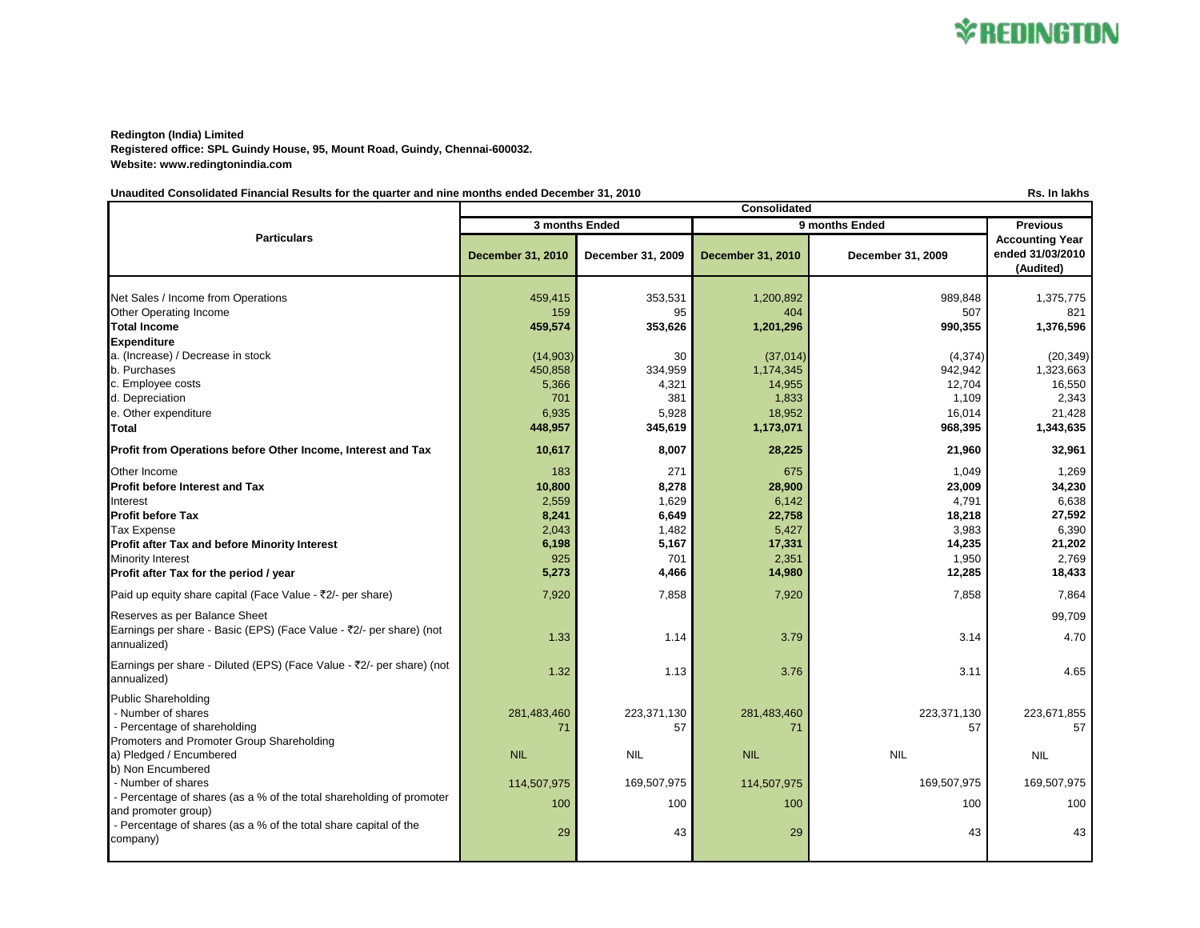**Redington (India) Limited Registered office: SPL Guindy House, 95, Mount Road, Guindy, Chennai-600032. Website: www.redingtonindia.com**

Unaudited Consolidated Financial Results for the quarter and nine months ended December 31, 2010 **Results and December 31, 2010 Rs.** In lakhs

**December 31, 2010 December 31, 2009 December 31, 2010 December 31, 2009** Net Sales / Income from Operations 455,415 459,415 459,415 353,531 4 353,531 363,531 363,531 989,848 989,848 1,375,775 Other Operating Income 159 95 404 507 821 **Total Income 459,574 353,626 1,201,296 990,355 1,376,596 Expenditure** a. (Increase) / Decrease in stock (20,349) **12, 14,903** (14,903) 30 (37,014) (37,014) (4,374) (4,374) (20,349) b. Purchases 450,858 334,959 1,174,345 942,942 1,323,663 c. Employee costs 5,366 **1** 4,321 **14,955 12,704 12,704 16,550** 16,550 d. Depreciation 701 381 1,833 1,109 2,343 e. Other expenditure the state of the state of the state of the state of the state of the state of the state of the state of the state of the state of the state of the state of the state of the state of the state of the st **Total 448,957 345,619 1,173,071 968,395 1,343,635 Profit from Operations before Other Income, Interest and Tax 10,617 10,617 10,617 10,617 10,007 28,225 21,960 21,960 32,961** Other Income 183 271 675 1,049 1,269 Profit before Interest and Tax **10,800 10,800** 8,278 **28,900** 28,900 **23,009** 23,009 34,230 Interest 2,559 1,629 6,638 6,638 6,638 6,638 6,638 6,638 6,638 6,638 6,638 6,638 6,638 6,638 6,638 6,638 6,638 Profit before Tax 8,241 6,649 22,758 27,592 Tax Expense 2,043 1,482 5,427 3,983 6,390 **Profit after Tax and before Minority Interest 6.498** 6,198 **6,198** 5,167 **17,331** 17,331 **14,235** 14,235 14,235 Minority Interest 925 701 2,351 1,950 2,769 **Profit after Tax for the period / year 5,273 18,433** 4,466 14,980 12,285 18,433 Paid up equity share capital (Face Value - ₹2/- per share) 7,864 7,920 7,858 7,858 7,858 7,858 7,864 7,864 Reserves as per Balance Sheet 99,709 Earnings per share - Basic (EPS) (Face Value - ₹2/- per share) (not  $\frac{1.33}{2.79}$  annualized) 1.33  $\frac{1.33}{2.79}$   $\frac{1.33}{2.79}$   $\frac{1.33}{2.79}$   $\frac{1.33}{2.79}$   $\frac{1.33}{2.79}$   $\frac{1.33}{2.79}$   $\frac{1.33}{2.79}$   $\frac{1.33}{2.79}$   $\frac{1.33}{2.79}$   $\frac{1.33}{2.79}$   $\frac{1.33}{2.79}$   $\frac{1.33}{2.7$ Earnings per share - Diluted (EPS) (Face Value - ₹2/- per share) (not  $\frac{1.32}{2.376}$  annualized) 3.11 3.11 3.11 4.65 Public Shareholding - Number of shares 223,671,855 (223,671,855 ) 281,483,460 223,371,130 281,483,460 223,371,130 223,671,555 - Percentage of shareholding and the state of state of the state of the state of the state of the state of the state of the state of the state of the state of the state of the state of the state of the state of the state o Promoters and Promoter Group Shareholding a) Pledged / Encumbered NIL NIL NIL NIL NIL b) Non Encumbered - Number of shares 169,507,975 169,507,975 169,507,975 169,507,975 114,507,975 169,507,975 169,507,975 169,507,975 169,507,975 169,507,975 169,507,975 169,507,975 169,507,975 169,507,975 169,507,975 169,507,975 169,507,975 - Percentage of shares (as a % of the total shareholding of promoter and promoter group) 100 100 100 100 100 - Percentage of shares (as a % of the total share capital of the  $\text{company}$ ) 29  $\text{company}$  29  $\text{company}$  29  $\text{company}$ **Particulars Consolidated 3 months Ended 9 months Ended Previous Accounting Year ended 31/03/2010 (Audited)**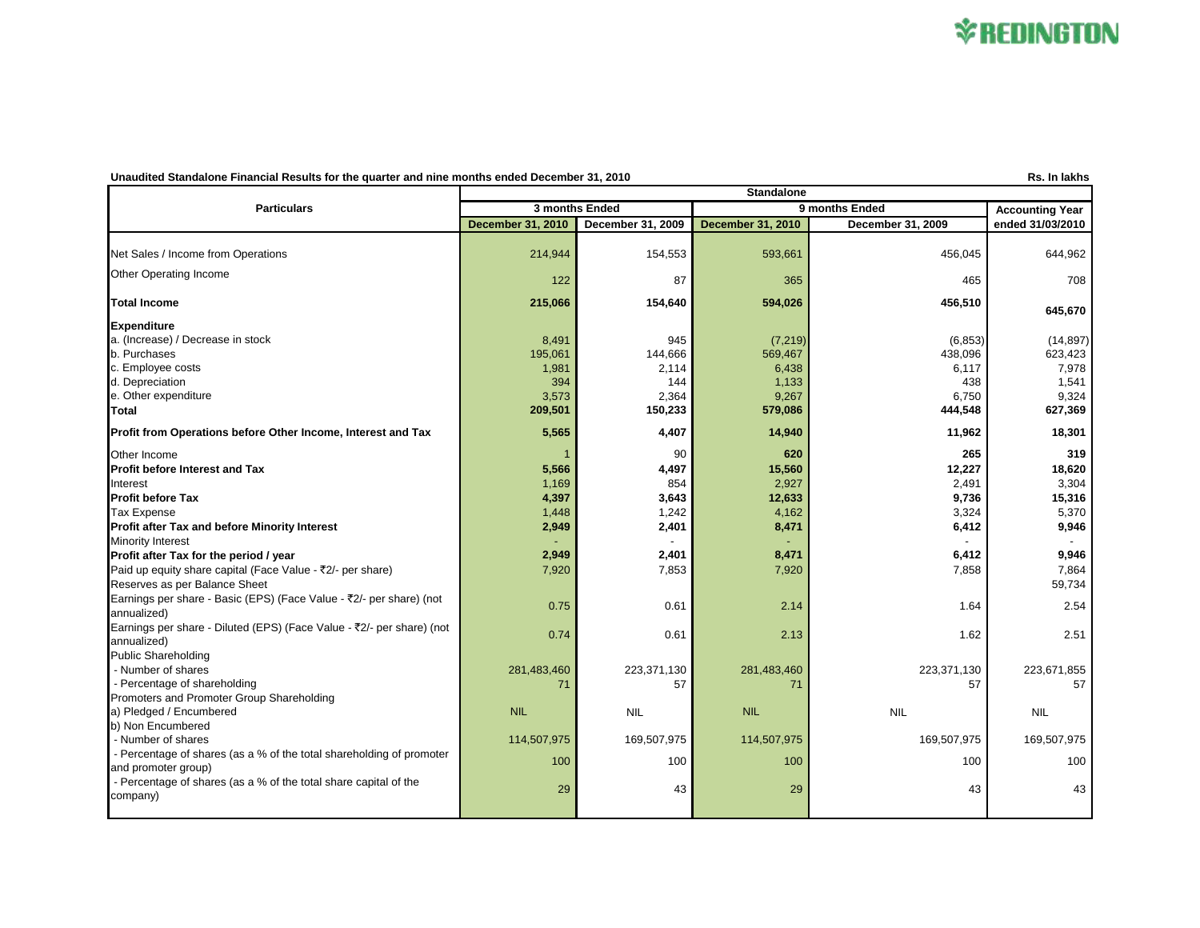## *\*REDINGTON*

## Unaudited Standalone Financial Results for the quarter and nine months ended December 31, 2010

|                                                                       | <b>Standalone</b>        |                   |                          |                   |                        |
|-----------------------------------------------------------------------|--------------------------|-------------------|--------------------------|-------------------|------------------------|
| <b>Particulars</b>                                                    | 3 months Ended           |                   | 9 months Ended           |                   | <b>Accounting Year</b> |
|                                                                       | <b>December 31, 2010</b> | December 31, 2009 | <b>December 31, 2010</b> | December 31, 2009 | ended 31/03/2010       |
| Net Sales / Income from Operations                                    | 214,944                  | 154,553           | 593,661                  | 456,045           | 644,962                |
| Other Operating Income                                                | 122                      | 87                | 365                      | 465               | 708                    |
| <b>Total Income</b>                                                   | 215,066                  | 154,640           | 594,026                  | 456,510           | 645,670                |
| <b>Expenditure</b>                                                    |                          |                   |                          |                   |                        |
| a. (Increase) / Decrease in stock                                     | 8,491                    | 945               | (7, 219)                 | (6, 853)          | (14, 897)              |
| b. Purchases                                                          | 195,061                  | 144,666           | 569,467                  | 438,096           | 623,423                |
| c. Employee costs                                                     | 1,981                    | 2,114             | 6,438                    | 6,117             | 7,978                  |
| d. Depreciation                                                       | 394                      | 144               | 1,133                    | 438               | 1,541                  |
| e. Other expenditure                                                  | 3,573                    | 2,364             | 9,267                    | 6,750             | 9,324                  |
| Total                                                                 | 209,501                  | 150,233           | 579,086                  | 444,548           | 627,369                |
| Profit from Operations before Other Income, Interest and Tax          | 5,565                    | 4,407             | 14,940                   | 11,962            | 18,301                 |
| Other Income                                                          |                          | 90                | 620                      | 265               | 319                    |
| <b>Profit before Interest and Tax</b>                                 | 5,566                    | 4,497             | 15,560                   | 12,227            | 18,620                 |
| Interest                                                              | 1.169                    | 854               | 2,927                    | 2,491             | 3,304                  |
| <b>Profit before Tax</b>                                              | 4,397                    | 3,643             | 12,633                   | 9,736             | 15,316                 |
| <b>Tax Expense</b>                                                    | 1,448                    | 1,242             | 4,162                    | 3,324             | 5,370                  |
| Profit after Tax and before Minority Interest                         | 2,949                    | 2,401             | 8,471                    | 6,412             | 9,946                  |
| <b>Minority Interest</b>                                              |                          |                   |                          |                   |                        |
| Profit after Tax for the period / year                                | 2,949                    | 2,401             | 8,471                    | 6,412             | 9,946                  |
| Paid up equity share capital (Face Value - ₹2/- per share)            | 7,920                    | 7,853             | 7,920                    | 7,858             | 7,864                  |
| Reserves as per Balance Sheet                                         |                          |                   |                          |                   | 59,734                 |
| Earnings per share - Basic (EPS) (Face Value - ₹2/- per share) (not   |                          |                   |                          |                   |                        |
| annualized)                                                           | 0.75                     | 0.61              | 2.14                     | 1.64              | 2.54                   |
| Earnings per share - Diluted (EPS) (Face Value - ₹2/- per share) (not |                          |                   |                          |                   |                        |
| annualized)                                                           | 0.74                     | 0.61              | 2.13                     | 1.62              | 2.51                   |
| <b>Public Shareholding</b>                                            |                          |                   |                          |                   |                        |
| - Number of shares                                                    | 281,483,460              | 223,371,130       | 281,483,460              | 223,371,130       | 223,671,855            |
| - Percentage of shareholding                                          | 71                       | 57                | 71                       | 57                | 57                     |
| Promoters and Promoter Group Shareholding                             |                          |                   |                          |                   |                        |
| a) Pledged / Encumbered                                               | <b>NIL</b>               | <b>NIL</b>        | <b>NIL</b>               | <b>NIL</b>        | <b>NIL</b>             |
| b) Non Encumbered                                                     |                          |                   |                          |                   |                        |
| - Number of shares                                                    | 114,507,975              | 169,507,975       | 114,507,975              | 169,507,975       | 169,507,975            |
| - Percentage of shares (as a % of the total shareholding of promoter  |                          |                   |                          |                   |                        |
| and promoter group)                                                   | 100                      | 100               | 100                      | 100               | 100                    |
| - Percentage of shares (as a % of the total share capital of the      |                          |                   |                          |                   |                        |
| company)                                                              | 29                       | 43                | 29                       | 43                | 43                     |
|                                                                       |                          |                   |                          |                   |                        |